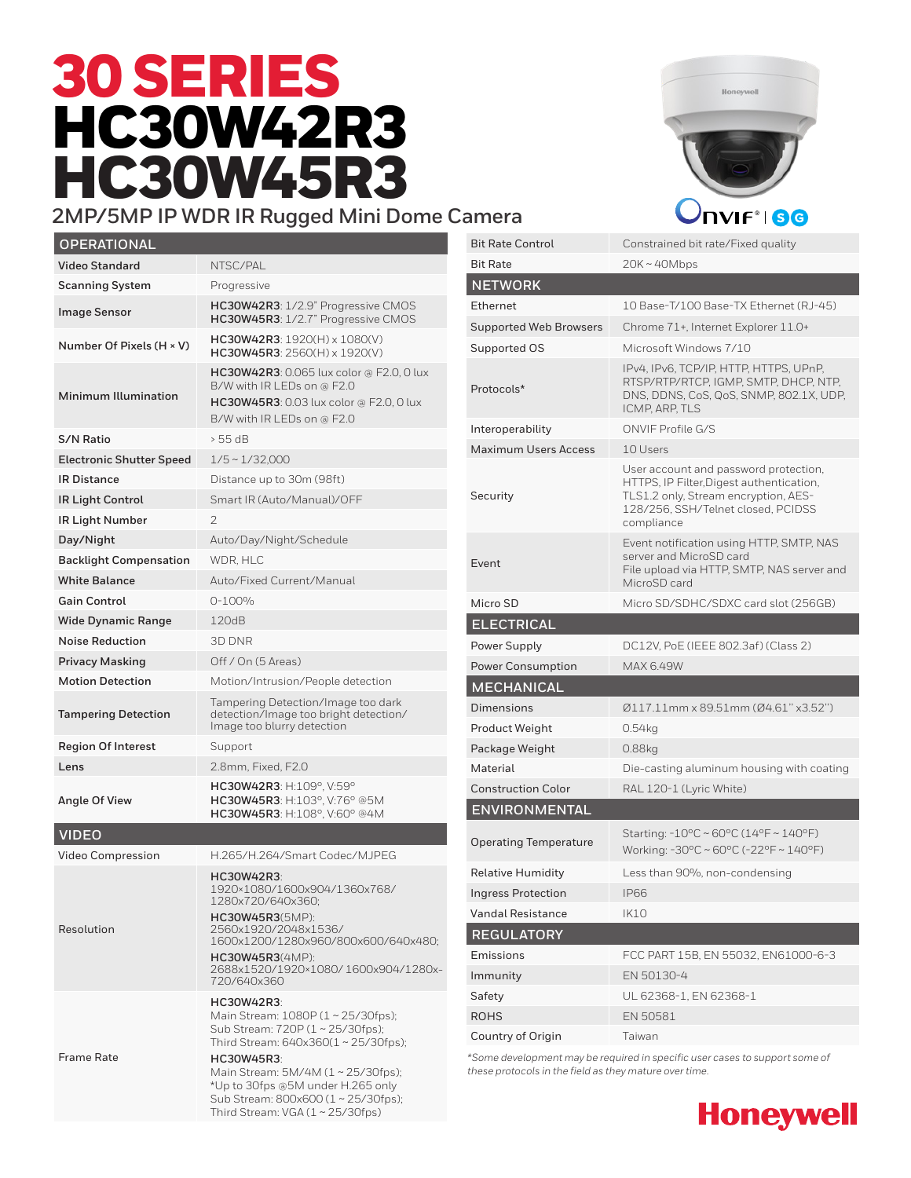# 30 SERIES HC30W42R3 HC30W45R3



### **2MP/5MP IP WDR IR Rugged Mini Dome Camera** *DIPP* **/ HBC**

| <b>OPERATIONAL</b>              |                                                                                                                                                                                                                                                                  |
|---------------------------------|------------------------------------------------------------------------------------------------------------------------------------------------------------------------------------------------------------------------------------------------------------------|
| <b>Video Standard</b>           | NTSC/PAL                                                                                                                                                                                                                                                         |
| <b>Scanning System</b>          | Progressive                                                                                                                                                                                                                                                      |
| <b>Image Sensor</b>             | HC30W42R3: 1/2.9" Progressive CMOS<br>HC30W45R3: 1/2.7" Progressive CMOS                                                                                                                                                                                         |
| Number Of Pixels (H × V)        | $HC30W42R3: 1920(H) \times 1080(V)$<br>$HC30W45R3: 2560(H) \times 1920(V)$                                                                                                                                                                                       |
| <b>Minimum Illumination</b>     | <b>HC30W42R3</b> : 0.065 lux color @ F2.0, 0 lux<br>B/W with IR LEDs on @ F2.0<br><b>HC30W45R3</b> : 0.03 lux color @ F2.0, 0 lux<br>B/W with IR LEDs on @ F2.0                                                                                                  |
| <b>S/N Ratio</b>                | > 55 dB                                                                                                                                                                                                                                                          |
| <b>Electronic Shutter Speed</b> | $1/5 \sim 1/32,000$                                                                                                                                                                                                                                              |
| <b>IR Distance</b>              | Distance up to 30m (98ft)                                                                                                                                                                                                                                        |
| IR Light Control                | Smart IR (Auto/Manual)/OFF                                                                                                                                                                                                                                       |
| IR Light Number                 | 2                                                                                                                                                                                                                                                                |
| Day/Night                       | Auto/Day/Night/Schedule                                                                                                                                                                                                                                          |
| <b>Backlight Compensation</b>   | WDR. HLC                                                                                                                                                                                                                                                         |
| <b>White Balance</b>            | Auto/Fixed Current/Manual                                                                                                                                                                                                                                        |
| <b>Gain Control</b>             | $0 - 100%$                                                                                                                                                                                                                                                       |
| <b>Wide Dynamic Range</b>       | 120dB                                                                                                                                                                                                                                                            |
| <b>Noise Reduction</b>          | 3D DNR                                                                                                                                                                                                                                                           |
| <b>Privacy Masking</b>          | Off / On (5 Areas)                                                                                                                                                                                                                                               |
| <b>Motion Detection</b>         | Motion/Intrusion/People detection                                                                                                                                                                                                                                |
| <b>Tampering Detection</b>      | Tampering Detection/Image too dark<br>detection/Image too bright detection/<br>Image too blurry detection                                                                                                                                                        |
| <b>Region Of Interest</b>       | Support                                                                                                                                                                                                                                                          |
| Lens                            | 2.8mm, Fixed, F2.0                                                                                                                                                                                                                                               |
| Angle Of View                   | HC30W42R3: H:109°, V:59°<br>HC30W45R3: H:103°, V:76° @5M<br>HC30W45R3: H:108°, V:60° @4M                                                                                                                                                                         |
| <b>VIDEO</b>                    |                                                                                                                                                                                                                                                                  |
| <b>Video Compression</b>        | H.265/H.264/Smart Codec/MJPEG                                                                                                                                                                                                                                    |
| Resolution                      | HC30W42R3:<br>1920×1080/1600x904/1360x768/<br>1280x/207640x360;                                                                                                                                                                                                  |
|                                 | <b>HC30W45R3</b> (5MP):<br>2560x1920/2048x1536/<br>1600x1200/1280x960/800x600/640x480;                                                                                                                                                                           |
|                                 | <b>HC30W45R3</b> (4MP):<br>2688x1520/1920×1080/1600x904/1280x-<br>720/640x360                                                                                                                                                                                    |
| <b>Frame Rate</b>               | <b>HC30W42R3:</b><br>Main Stream: 1080P (1~25/30fps);<br>Sub Stream: 720P (1~25/30fps);<br>Third Stream: 640x360(1~25/30fps);<br><b>HC30W45R3:</b><br>Main Stream: 5M/4M (1~25/30fps);<br>*Up to 30fps @5M under H.265 only<br>Sub Stream: 800x600 (1~25/30fps); |

Third Stream: VGA (1 ~ 25/30fps)

| <b>Bit Rate Control</b>       | Constrained bit rate/Fixed quality                                                                                                                                            |
|-------------------------------|-------------------------------------------------------------------------------------------------------------------------------------------------------------------------------|
| <b>Bit Rate</b>               | 20K ~ 40Mbps                                                                                                                                                                  |
| <b>NETWORK</b>                |                                                                                                                                                                               |
| Ethernet                      | 10 Base-T/100 Base-TX Ethernet (RJ-45)                                                                                                                                        |
| <b>Supported Web Browsers</b> | Chrome 71+, Internet Explorer 11.0+                                                                                                                                           |
| Supported OS                  | Microsoft Windows 7/10                                                                                                                                                        |
| Protocols*                    | IPv4, IPv6, TCP/IP, HTTP, HTTPS, UPnP,<br>RTSP/RTP/RTCP, IGMP, SMTP, DHCP, NTP,<br>DNS, DDNS, CoS, QoS, SNMP, 802.1X, UDP,<br>ICMP, ARP, TLS                                  |
| Interoperability              | ONVIF Profile G/S                                                                                                                                                             |
| <b>Maximum Users Access</b>   | 10 Users                                                                                                                                                                      |
| Security                      | User account and password protection,<br>HTTPS, IP Filter, Digest authentication,<br>TLS1.2 only, Stream encryption, AES-<br>128/256, SSH/Telnet closed, PCIDSS<br>compliance |
| Event                         | Event notification using HTTP, SMTP, NAS<br>server and MicroSD card<br>File upload via HTTP, SMTP, NAS server and<br>MicroSD card                                             |
| Micro SD                      | Micro SD/SDHC/SDXC card slot (256GB)                                                                                                                                          |
| <b>ELECTRICAL</b>             |                                                                                                                                                                               |
|                               |                                                                                                                                                                               |
| Power Supply                  | DC12V, PoE (IEEE 802.3af) (Class 2)                                                                                                                                           |
| <b>Power Consumption</b>      | MAX 6.49W                                                                                                                                                                     |
| <b>MECHANICAL</b>             |                                                                                                                                                                               |
| Dimensions                    | 0117.11mm x 89.51mm (04.61" x3.52")                                                                                                                                           |
| Product Weight                | 0.54kg                                                                                                                                                                        |
| Package Weight                | 0.88kg                                                                                                                                                                        |
| Material                      | Die-casting aluminum housing with coating                                                                                                                                     |
| <b>Construction Color</b>     | RAL 120-1 (Lyric White)                                                                                                                                                       |
| <b>ENVIRONMENTAL</b>          |                                                                                                                                                                               |
| <b>Operating Temperature</b>  | Starting: $-10^{\circ}$ C ~ 60°C (14°F ~ 140°F)<br>Working: -30°C ~ 60°C (-22°F ~ 140°F)                                                                                      |
| <b>Relative Humidity</b>      | Less than 90%, non-condensing                                                                                                                                                 |
| <b>Ingress Protection</b>     | <b>IP66</b>                                                                                                                                                                   |
| <b>Vandal Resistance</b>      | IK10                                                                                                                                                                          |
| <b>REGULATORY</b>             |                                                                                                                                                                               |
| Emissions                     | FCC PART 15B, EN 55032, EN61000-6-3                                                                                                                                           |
| Immunity                      | EN 50130-4                                                                                                                                                                    |
| Safety                        | UL 62368-1, EN 62368-1                                                                                                                                                        |
| <b>ROHS</b>                   | EN 50581                                                                                                                                                                      |

*\*Some development may be required in specific user cases to support some of these protocols in the field as they mature over time.*